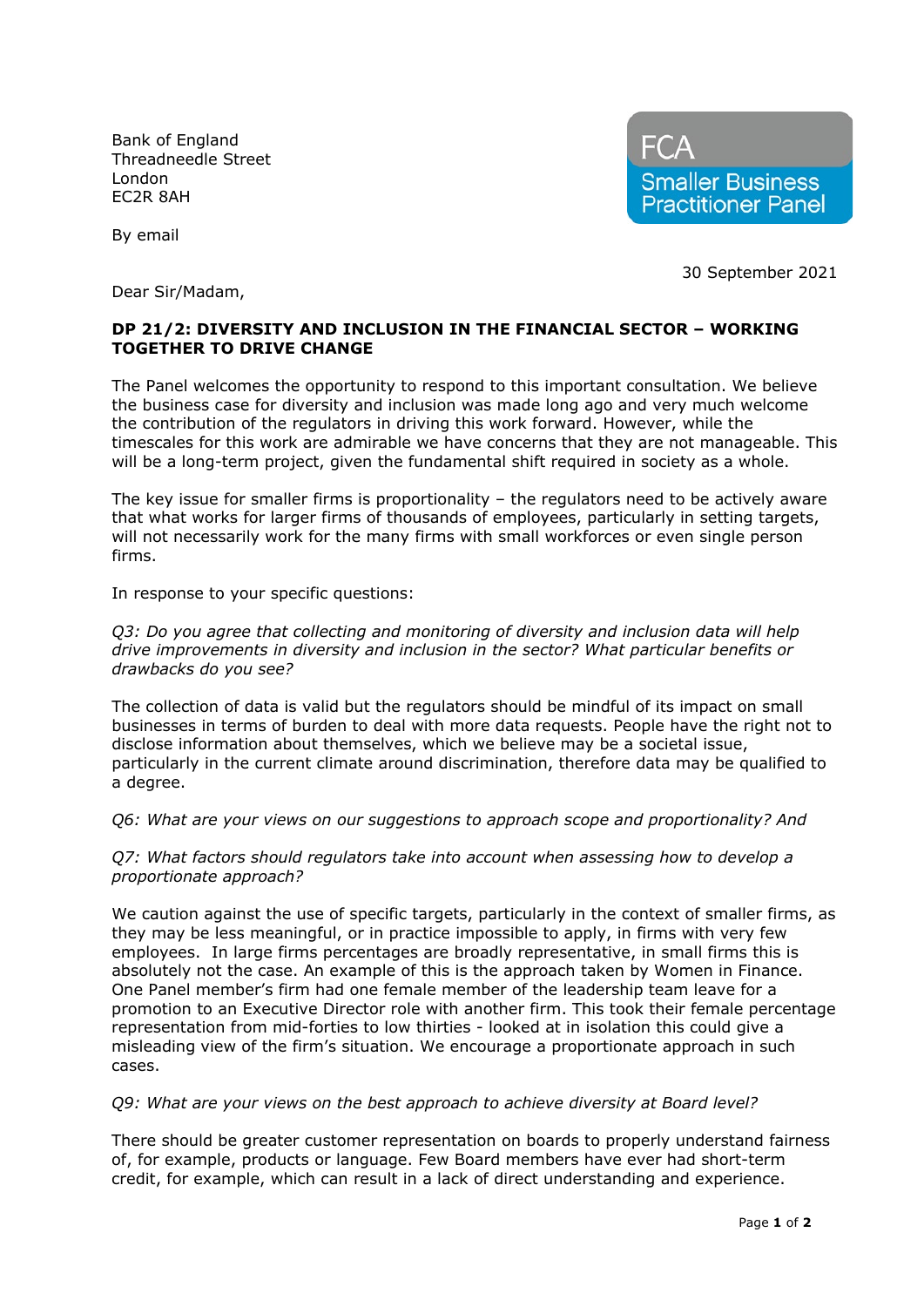Bank of England Threadneedle Street London EC2R 8AH



By email

30 September 2021

Dear Sir/Madam,

## **DP 21/2: DIVERSITY AND INCLUSION IN THE FINANCIAL SECTOR – WORKING TOGETHER TO DRIVE CHANGE**

The Panel welcomes the opportunity to respond to this important consultation. We believe the business case for diversity and inclusion was made long ago and very much welcome the contribution of the regulators in driving this work forward. However, while the timescales for this work are admirable we have concerns that they are not manageable. This will be a long-term project, given the fundamental shift required in society as a whole.

The key issue for smaller firms is proportionality – the regulators need to be actively aware that what works for larger firms of thousands of employees, particularly in setting targets, will not necessarily work for the many firms with small workforces or even single person firms.

In response to your specific questions:

## *Q3: Do you agree that collecting and monitoring of diversity and inclusion data will help drive improvements in diversity and inclusion in the sector? What particular benefits or drawbacks do you see?*

The collection of data is valid but the regulators should be mindful of its impact on small businesses in terms of burden to deal with more data requests. People have the right not to disclose information about themselves, which we believe may be a societal issue, particularly in the current climate around discrimination, therefore data may be qualified to a degree.

*Q6: What are your views on our suggestions to approach scope and proportionality? And* 

*Q7: What factors should regulators take into account when assessing how to develop a proportionate approach?*

We caution against the use of specific targets, particularly in the context of smaller firms, as they may be less meaningful, or in practice impossible to apply, in firms with very few employees. In large firms percentages are broadly representative, in small firms this is absolutely not the case. An example of this is the approach taken by Women in Finance. One Panel member's firm had one female member of the leadership team leave for a promotion to an Executive Director role with another firm. This took their female percentage representation from mid-forties to low thirties - looked at in isolation this could give a misleading view of the firm's situation. We encourage a proportionate approach in such cases.

## *Q9: What are your views on the best approach to achieve diversity at Board level?*

There should be greater customer representation on boards to properly understand fairness of, for example, products or language. Few Board members have ever had short-term credit, for example, which can result in a lack of direct understanding and experience.